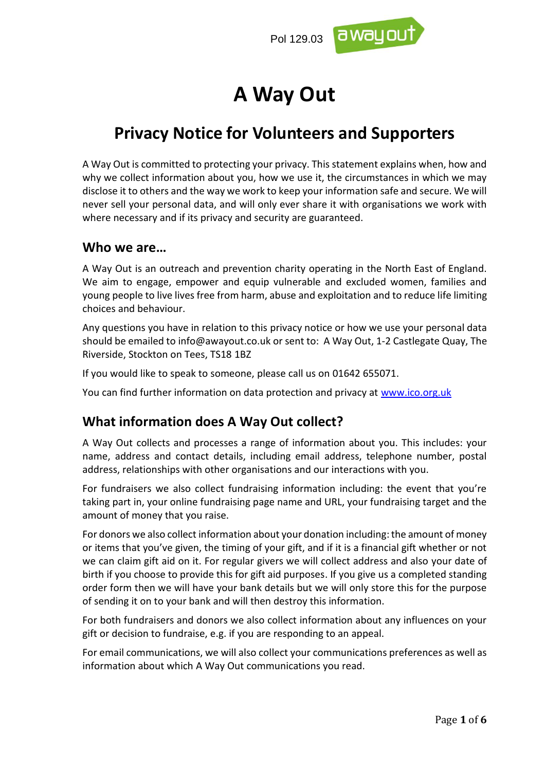

# **A Way Out**

# **Privacy Notice for Volunteers and Supporters**

A Way Out is committed to protecting your privacy. This statement explains when, how and why we collect information about you, how we use it, the circumstances in which we may disclose it to others and the way we work to keep your information safe and secure. We will never sell your personal data, and will only ever share it with organisations we work with where necessary and if its privacy and security are guaranteed.

#### **Who we are…**

A Way Out is an outreach and prevention charity operating in the North East of England. We aim to engage, empower and equip vulnerable and excluded women, families and young people to live lives free from harm, abuse and exploitation and to reduce life limiting choices and behaviour.

Any questions you have in relation to this privacy notice or how we use your personal data should be emailed to info@awayout.co.uk or sent to: A Way Out, 1-2 Castlegate Quay, The Riverside, Stockton on Tees, TS18 1BZ

If you would like to speak to someone, please call us on 01642 655071.

You can find further information on data protection and privacy at [www.ico.org.uk](http://www.ico.org.uk/)

## **What information does A Way Out collect?**

A Way Out collects and processes a range of information about you. This includes: your name, address and contact details, including email address, telephone number, postal address, relationships with other organisations and our interactions with you.

For fundraisers we also collect fundraising information including: the event that you're taking part in, your online fundraising page name and URL, your fundraising target and the amount of money that you raise.

For donors we also collect information about your donation including: the amount of money or items that you've given, the timing of your gift, and if it is a financial gift whether or not we can claim gift aid on it. For regular givers we will collect address and also your date of birth if you choose to provide this for gift aid purposes. If you give us a completed standing order form then we will have your bank details but we will only store this for the purpose of sending it on to your bank and will then destroy this information.

For both fundraisers and donors we also collect information about any influences on your gift or decision to fundraise, e.g. if you are responding to an appeal.

For email communications, we will also collect your communications preferences as well as information about which A Way Out communications you read.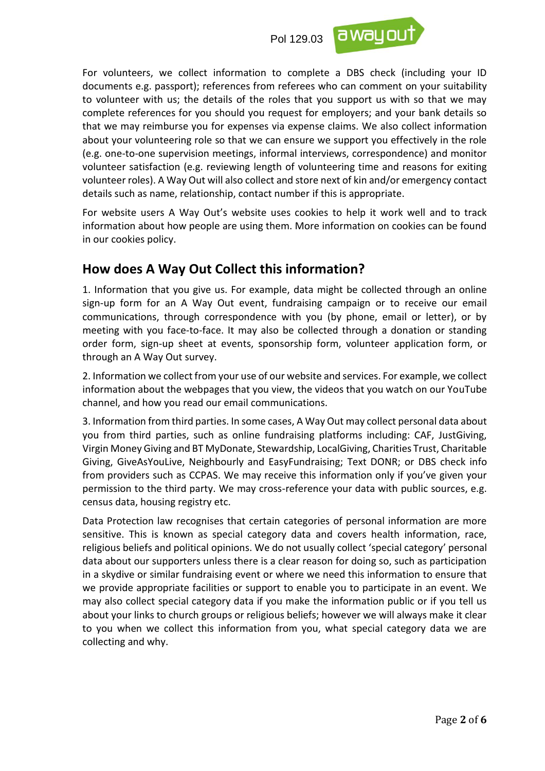

For volunteers, we collect information to complete a DBS check (including your ID documents e.g. passport); references from referees who can comment on your suitability to volunteer with us; the details of the roles that you support us with so that we may complete references for you should you request for employers; and your bank details so that we may reimburse you for expenses via expense claims. We also collect information about your volunteering role so that we can ensure we support you effectively in the role (e.g. one-to-one supervision meetings, informal interviews, correspondence) and monitor volunteer satisfaction (e.g. reviewing length of volunteering time and reasons for exiting volunteer roles). A Way Out will also collect and store next of kin and/or emergency contact details such as name, relationship, contact number if this is appropriate.

For website users A Way Out's website uses cookies to help it work well and to track information about how people are using them. More information on cookies can be found in our cookies policy.

#### **How does A Way Out Collect this information?**

1. Information that you give us. For example, data might be collected through an online sign-up form for an A Way Out event, fundraising campaign or to receive our email communications, through correspondence with you (by phone, email or letter), or by meeting with you face-to-face. It may also be collected through a donation or standing order form, sign-up sheet at events, sponsorship form, volunteer application form, or through an A Way Out survey.

2. Information we collect from your use of our website and services. For example, we collect information about the webpages that you view, the videos that you watch on our YouTube channel, and how you read our email communications.

3. Information from third parties. In some cases, A Way Out may collect personal data about you from third parties, such as online fundraising platforms including: CAF, JustGiving, Virgin Money Giving and BT MyDonate, Stewardship, LocalGiving, Charities Trust, Charitable Giving, GiveAsYouLive, Neighbourly and EasyFundraising; Text DONR; or DBS check info from providers such as CCPAS. We may receive this information only if you've given your permission to the third party. We may cross-reference your data with public sources, e.g. census data, housing registry etc.

Data Protection law recognises that certain categories of personal information are more sensitive. This is known as special category data and covers health information, race, religious beliefs and political opinions. We do not usually collect 'special category' personal data about our supporters unless there is a clear reason for doing so, such as participation in a skydive or similar fundraising event or where we need this information to ensure that we provide appropriate facilities or support to enable you to participate in an event. We may also collect special category data if you make the information public or if you tell us about your links to church groups or religious beliefs; however we will always make it clear to you when we collect this information from you, what special category data we are collecting and why.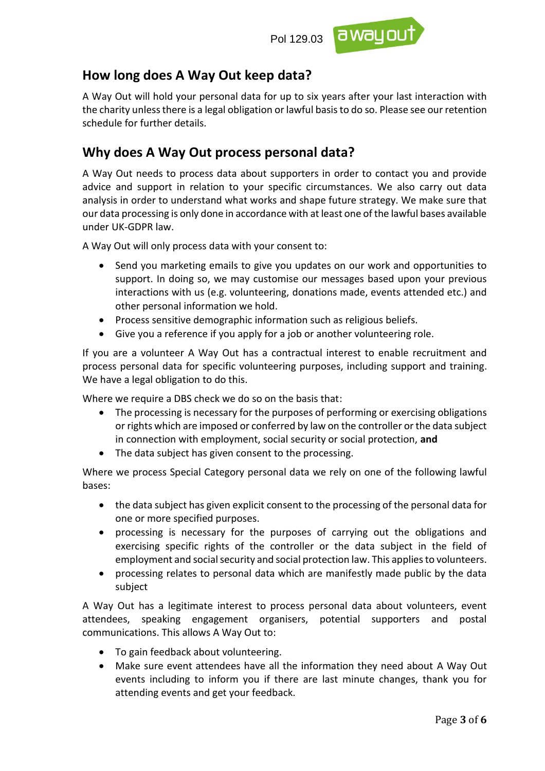

#### **How long does A Way Out keep data?**

A Way Out will hold your personal data for up to six years after your last interaction with the charity unless there is a legal obligation or lawful basisto do so. Please see our retention schedule for further details.

#### **Why does A Way Out process personal data?**

A Way Out needs to process data about supporters in order to contact you and provide advice and support in relation to your specific circumstances. We also carry out data analysis in order to understand what works and shape future strategy. We make sure that our data processing is only done in accordance with at least one of the lawful bases available under UK-GDPR law.

A Way Out will only process data with your consent to:

- Send you marketing emails to give you updates on our work and opportunities to support. In doing so, we may customise our messages based upon your previous interactions with us (e.g. volunteering, donations made, events attended etc.) and other personal information we hold.
- Process sensitive demographic information such as religious beliefs.
- Give you a reference if you apply for a job or another volunteering role.

If you are a volunteer A Way Out has a contractual interest to enable recruitment and process personal data for specific volunteering purposes, including support and training. We have a legal obligation to do this.

Where we require a DBS check we do so on the basis that:

- The processing is necessary for the purposes of performing or exercising obligations or rights which are imposed or conferred by law on the controller or the data subject in connection with employment, social security or social protection, **and**
- The data subject has given consent to the processing.

Where we process Special Category personal data we rely on one of the following lawful bases:

- the data subject has given explicit consent to the processing of the personal data for one or more specified purposes.
- processing is necessary for the purposes of carrying out the obligations and exercising specific rights of the controller or the data subject in the field of employment and social security and social protection law. This applies to volunteers.
- processing relates to personal data which are manifestly made public by the data subject

A Way Out has a legitimate interest to process personal data about volunteers, event attendees, speaking engagement organisers, potential supporters and postal communications. This allows A Way Out to:

- To gain feedback about volunteering.
- Make sure event attendees have all the information they need about A Way Out events including to inform you if there are last minute changes, thank you for attending events and get your feedback.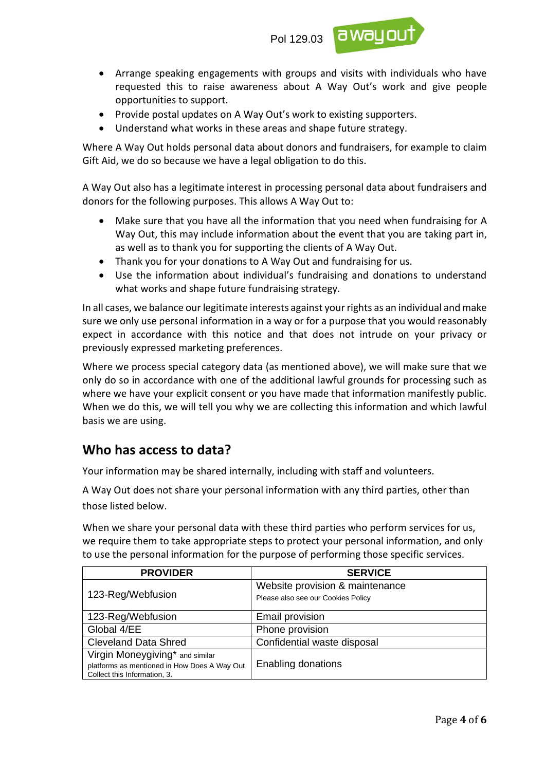

- Arrange speaking engagements with groups and visits with individuals who have requested this to raise awareness about A Way Out's work and give people opportunities to support.
- Provide postal updates on A Way Out's work to existing supporters.
- Understand what works in these areas and shape future strategy.

Where A Way Out holds personal data about donors and fundraisers, for example to claim Gift Aid, we do so because we have a legal obligation to do this.

A Way Out also has a legitimate interest in processing personal data about fundraisers and donors for the following purposes. This allows A Way Out to:

- Make sure that you have all the information that you need when fundraising for A Way Out, this may include information about the event that you are taking part in, as well as to thank you for supporting the clients of A Way Out.
- Thank you for your donations to A Way Out and fundraising for us.
- Use the information about individual's fundraising and donations to understand what works and shape future fundraising strategy.

In all cases, we balance our legitimate interests against your rights as an individual and make sure we only use personal information in a way or for a purpose that you would reasonably expect in accordance with this notice and that does not intrude on your privacy or previously expressed marketing preferences.

Where we process special category data (as mentioned above), we will make sure that we only do so in accordance with one of the additional lawful grounds for processing such as where we have your explicit consent or you have made that information manifestly public. When we do this, we will tell you why we are collecting this information and which lawful basis we are using.

## **Who has access to data?**

Your information may be shared internally, including with staff and volunteers.

A Way Out does not share your personal information with any third parties, other than those listed below.

When we share your personal data with these third parties who perform services for us, we require them to take appropriate steps to protect your personal information, and only to use the personal information for the purpose of performing those specific services.

| <b>PROVIDER</b>                              | <b>SERVICE</b>                                                        |
|----------------------------------------------|-----------------------------------------------------------------------|
| 123-Reg/Webfusion                            | Website provision & maintenance<br>Please also see our Cookies Policy |
|                                              |                                                                       |
| 123-Reg/Webfusion                            | Email provision                                                       |
| Global 4/EE                                  | Phone provision                                                       |
| <b>Cleveland Data Shred</b>                  | Confidential waste disposal                                           |
| Virgin Moneygiving* and similar              |                                                                       |
| platforms as mentioned in How Does A Way Out | <b>Enabling donations</b>                                             |
| Collect this Information, 3.                 |                                                                       |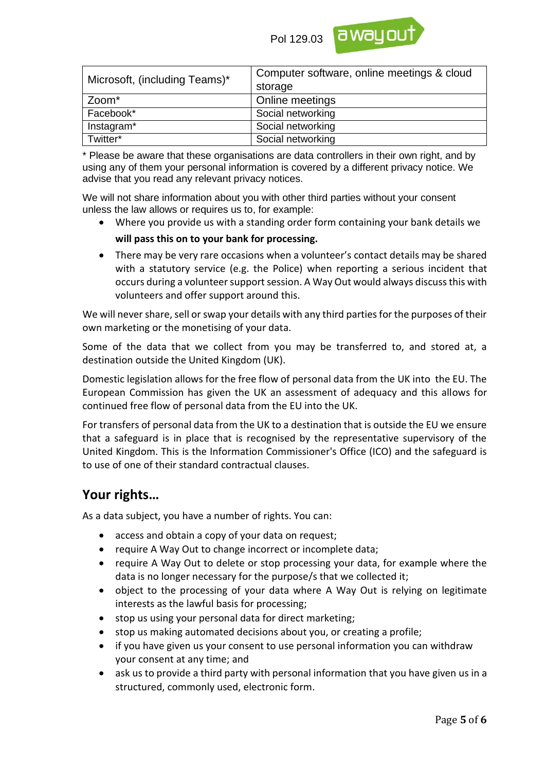

| Microsoft, (including Teams)* | Computer software, online meetings & cloud<br>storage |  |
|-------------------------------|-------------------------------------------------------|--|
| Zoom*                         | Online meetings                                       |  |
| Facebook*                     | Social networking                                     |  |
| Instagram*                    | Social networking                                     |  |
| Twitter*                      | Social networking                                     |  |

\* Please be aware that these organisations are data controllers in their own right, and by using any of them your personal information is covered by a different privacy notice. We advise that you read any relevant privacy notices.

We will not share information about you with other third parties without your consent unless the law allows or requires us to, for example:

• Where you provide us with a standing order form containing your bank details we

#### **will pass this on to your bank for processing.**

• There may be very rare occasions when a volunteer's contact details may be shared with a statutory service (e.g. the Police) when reporting a serious incident that occurs during a volunteer support session. A Way Out would always discuss this with volunteers and offer support around this.

We will never share, sell or swap your details with any third parties for the purposes of their own marketing or the monetising of your data.

Some of the data that we collect from you may be transferred to, and stored at, a destination outside the United Kingdom (UK).

Domestic legislation allows for the free flow of personal data from the UK into the EU. The European Commission has given the UK an assessment of adequacy and this allows for continued free flow of personal data from the EU into the UK.

For transfers of personal data from the UK to a destination that is outside the EU we ensure that a safeguard is in place that is recognised by the representative supervisory of the United Kingdom. This is the Information Commissioner's Office (ICO) and the safeguard is to use of one of their standard contractual clauses.

#### **Your rights…**

As a data subject, you have a number of rights. You can:

- access and obtain a copy of your data on request;
- require A Way Out to change incorrect or incomplete data;
- require A Way Out to delete or stop processing your data, for example where the data is no longer necessary for the purpose/s that we collected it;
- object to the processing of your data where A Way Out is relying on legitimate interests as the lawful basis for processing;
- stop us using your personal data for direct marketing;
- stop us making automated decisions about you, or creating a profile;
- if you have given us your consent to use personal information you can withdraw your consent at any time; and
- ask us to provide a third party with personal information that you have given us in a structured, commonly used, electronic form.